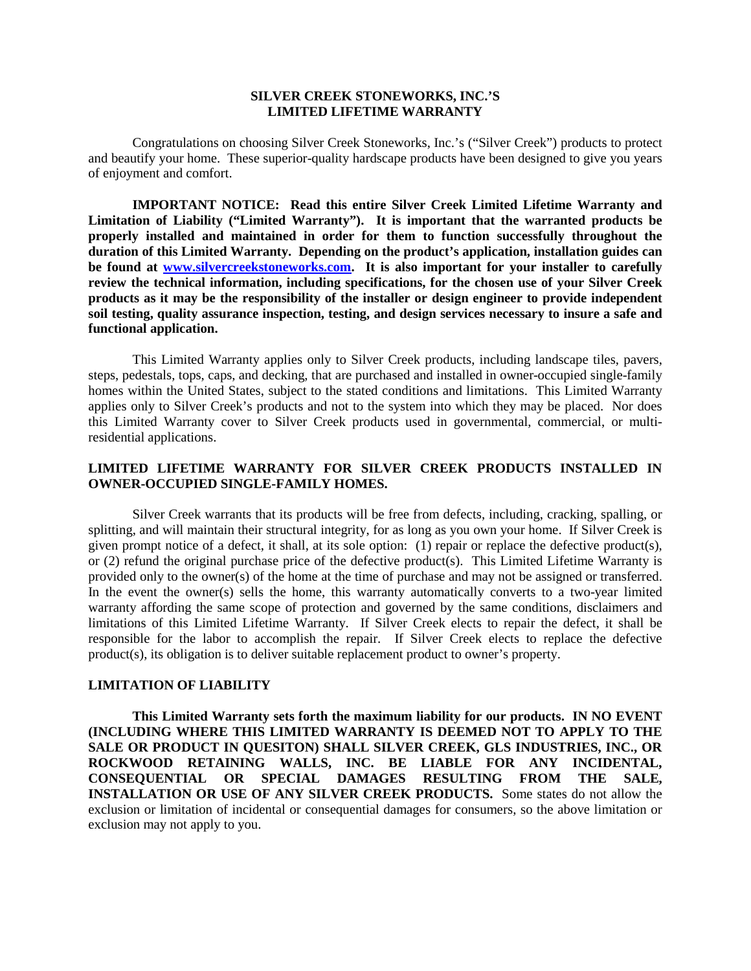### **SILVER CREEK STONEWORKS, INC.'S LIMITED LIFETIME WARRANTY**

Congratulations on choosing Silver Creek Stoneworks, Inc.'s ("Silver Creek") products to protect and beautify your home. These superior-quality hardscape products have been designed to give you years of enjoyment and comfort.

**IMPORTANT NOTICE: Read this entire Silver Creek Limited Lifetime Warranty and Limitation of Liability ("Limited Warranty"). It is important that the warranted products be properly installed and maintained in order for them to function successfully throughout the duration of this Limited Warranty. Depending on the product's application, installation guides can be found at [www.silvercreekstoneworks.com.](http://www.rockwoodwalls.com/) It is also important for your installer to carefully review the technical information, including specifications, for the chosen use of your Silver Creek products as it may be the responsibility of the installer or design engineer to provide independent soil testing, quality assurance inspection, testing, and design services necessary to insure a safe and functional application.**

This Limited Warranty applies only to Silver Creek products, including landscape tiles, pavers, steps, pedestals, tops, caps, and decking, that are purchased and installed in owner-occupied single-family homes within the United States, subject to the stated conditions and limitations. This Limited Warranty applies only to Silver Creek's products and not to the system into which they may be placed. Nor does this Limited Warranty cover to Silver Creek products used in governmental, commercial, or multiresidential applications.

# **LIMITED LIFETIME WARRANTY FOR SILVER CREEK PRODUCTS INSTALLED IN OWNER-OCCUPIED SINGLE-FAMILY HOMES.**

Silver Creek warrants that its products will be free from defects, including, cracking, spalling, or splitting, and will maintain their structural integrity, for as long as you own your home. If Silver Creek is given prompt notice of a defect, it shall, at its sole option: (1) repair or replace the defective product(s), or (2) refund the original purchase price of the defective product(s). This Limited Lifetime Warranty is provided only to the owner(s) of the home at the time of purchase and may not be assigned or transferred. In the event the owner(s) sells the home, this warranty automatically converts to a two-year limited warranty affording the same scope of protection and governed by the same conditions, disclaimers and limitations of this Limited Lifetime Warranty. If Silver Creek elects to repair the defect, it shall be responsible for the labor to accomplish the repair. If Silver Creek elects to replace the defective product(s), its obligation is to deliver suitable replacement product to owner's property.

## **LIMITATION OF LIABILITY**

**This Limited Warranty sets forth the maximum liability for our products. IN NO EVENT (INCLUDING WHERE THIS LIMITED WARRANTY IS DEEMED NOT TO APPLY TO THE SALE OR PRODUCT IN QUESITON) SHALL SILVER CREEK, GLS INDUSTRIES, INC., OR ROCKWOOD RETAINING WALLS, INC. BE LIABLE FOR ANY INCIDENTAL, CONSEQUENTIAL OR SPECIAL DAMAGES RESULTING FROM THE SALE, INSTALLATION OR USE OF ANY SILVER CREEK PRODUCTS.** Some states do not allow the exclusion or limitation of incidental or consequential damages for consumers, so the above limitation or exclusion may not apply to you.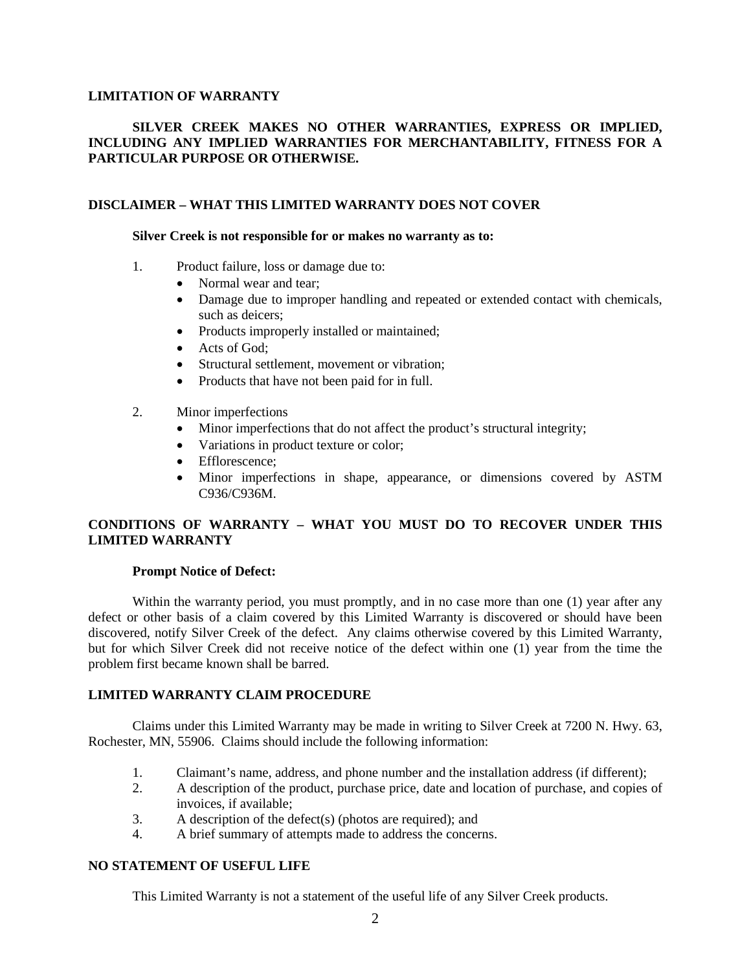## **LIMITATION OF WARRANTY**

# **SILVER CREEK MAKES NO OTHER WARRANTIES, EXPRESS OR IMPLIED, INCLUDING ANY IMPLIED WARRANTIES FOR MERCHANTABILITY, FITNESS FOR A PARTICULAR PURPOSE OR OTHERWISE.**

## **DISCLAIMER – WHAT THIS LIMITED WARRANTY DOES NOT COVER**

#### **Silver Creek is not responsible for or makes no warranty as to:**

- 1. Product failure, loss or damage due to:
	- Normal wear and tear;
	- Damage due to improper handling and repeated or extended contact with chemicals, such as deicers;
	- Products improperly installed or maintained;
	- Acts of God:
	- Structural settlement, movement or vibration;
	- Products that have not been paid for in full.
- 2. Minor imperfections
	- Minor imperfections that do not affect the product's structural integrity;
	- Variations in product texture or color;
	- Efflorescence;
	- Minor imperfections in shape, appearance, or dimensions covered by ASTM C936/C936M.

# **CONDITIONS OF WARRANTY – WHAT YOU MUST DO TO RECOVER UNDER THIS LIMITED WARRANTY**

## **Prompt Notice of Defect:**

Within the warranty period, you must promptly, and in no case more than one (1) year after any defect or other basis of a claim covered by this Limited Warranty is discovered or should have been discovered, notify Silver Creek of the defect. Any claims otherwise covered by this Limited Warranty, but for which Silver Creek did not receive notice of the defect within one (1) year from the time the problem first became known shall be barred.

# **LIMITED WARRANTY CLAIM PROCEDURE**

Claims under this Limited Warranty may be made in writing to Silver Creek at 7200 N. Hwy. 63, Rochester, MN, 55906. Claims should include the following information:

- 1. Claimant's name, address, and phone number and the installation address (if different);
- 2. A description of the product, purchase price, date and location of purchase, and copies of invoices, if available;
- 3. A description of the defect(s) (photos are required); and
- 4. A brief summary of attempts made to address the concerns.

## **NO STATEMENT OF USEFUL LIFE**

This Limited Warranty is not a statement of the useful life of any Silver Creek products.